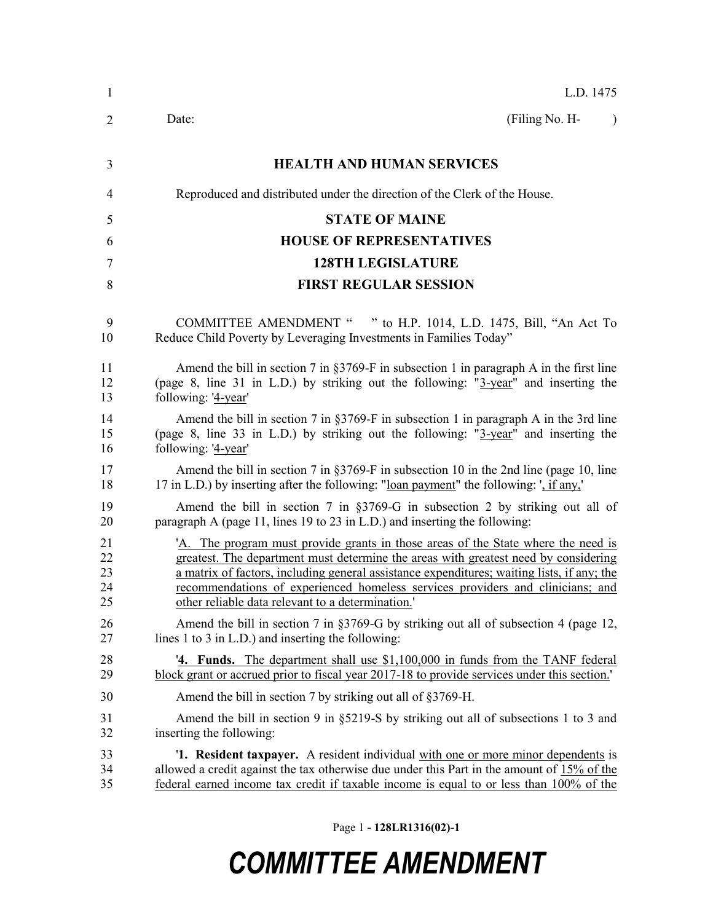| $\mathbf{1}$ | L.D. 1475                                                                                   |
|--------------|---------------------------------------------------------------------------------------------|
| 2            | (Filing No. H-<br>Date:<br>$\lambda$                                                        |
| 3            | <b>HEALTH AND HUMAN SERVICES</b>                                                            |
| 4            | Reproduced and distributed under the direction of the Clerk of the House.                   |
| 5            | <b>STATE OF MAINE</b>                                                                       |
| 6            | <b>HOUSE OF REPRESENTATIVES</b>                                                             |
| 7            | <b>128TH LEGISLATURE</b>                                                                    |
| 8            | <b>FIRST REGULAR SESSION</b>                                                                |
| 9            | COMMITTEE AMENDMENT " " to H.P. 1014, L.D. 1475, Bill, "An Act To                           |
| 10           | Reduce Child Poverty by Leveraging Investments in Families Today"                           |
| 11           | Amend the bill in section 7 in §3769-F in subsection 1 in paragraph A in the first line     |
| 12           | (page 8, line 31 in L.D.) by striking out the following: "3-year" and inserting the         |
| 13           | following: '4-year'                                                                         |
| 14           | Amend the bill in section 7 in §3769-F in subsection 1 in paragraph A in the 3rd line       |
| 15           | (page 8, line 33 in L.D.) by striking out the following: "3-year" and inserting the         |
| 16           | following: '4-year'                                                                         |
| 17           | Amend the bill in section 7 in §3769-F in subsection 10 in the 2nd line (page 10, line      |
| 18           | 17 in L.D.) by inserting after the following: "loan payment" the following: ', if any,'     |
| 19           | Amend the bill in section 7 in $\S 3769-G$ in subsection 2 by striking out all of           |
| 20           | paragraph A (page 11, lines 19 to 23 in L.D.) and inserting the following:                  |
| 21           | 'A. The program must provide grants in those areas of the State where the need is           |
| 22           | greatest. The department must determine the areas with greatest need by considering         |
| 23           | a matrix of factors, including general assistance expenditures; waiting lists, if any; the  |
| 24           | recommendations of experienced homeless services providers and clinicians; and              |
| 25           | other reliable data relevant to a determination.'                                           |
| 26           | Amend the bill in section 7 in §3769-G by striking out all of subsection 4 (page 12,        |
| 27           | lines $1$ to $3$ in L.D.) and inserting the following:                                      |
| 28           | <b>4. Funds.</b> The department shall use \$1,100,000 in funds from the TANF federal        |
| 29           | block grant or accrued prior to fiscal year 2017-18 to provide services under this section. |
| 30           | Amend the bill in section 7 by striking out all of §3769-H.                                 |
| 31           | Amend the bill in section 9 in $\S 5219-S$ by striking out all of subsections 1 to 3 and    |
| 32           | inserting the following:                                                                    |
| 33           | <b>1. Resident taxpayer.</b> A resident individual with one or more minor dependents is     |
| 34           | allowed a credit against the tax otherwise due under this Part in the amount of 15% of the  |
| 35           | federal earned income tax credit if taxable income is equal to or less than 100% of the     |

Page 1 **- 128LR1316(02)-1**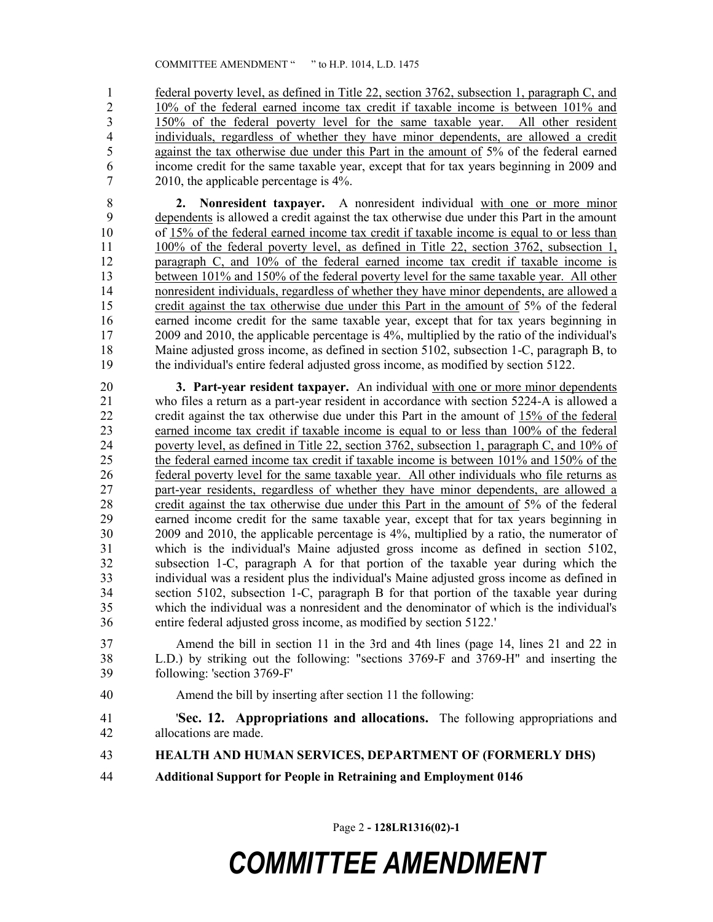federal poverty level, as defined in Title 22, section 3762, subsection 1, paragraph C, and 10% of the federal earned income tax credit if taxable income is between 101% and 150% of the federal poverty level for the same taxable year. All other resident individuals, regardless of whether they have minor dependents, are allowed a credit against the tax otherwise due under this Part in the amount of 5% of the federal earned income credit for the same taxable year, except that for tax years beginning in 2009 and 2010, the applicable percentage is 4%.

 **2. Nonresident taxpayer.** A nonresident individual with one or more minor dependents is allowed a credit against the tax otherwise due under this Part in the amount of 15% of the federal earned income tax credit if taxable income is equal to or less than 100% of the federal poverty level, as defined in Title 22, section 3762, subsection 1, paragraph C, and 10% of the federal earned income tax credit if taxable income is between 101% and 150% of the federal poverty level for the same taxable year. All other 14 nonresident individuals, regardless of whether they have minor dependents, are allowed a credit against the tax otherwise due under this Part in the amount of 5% of the federal 16 earned income credit for the same taxable year, except that for tax years beginning in 2009 and 2010, the applicable percentage is 4%, multiplied by the ratio of the individual's Maine adjusted gross income, as defined in section 5102, subsection 1-C, paragraph B, to the individual's entire federal adjusted gross income, as modified by section 5122.

 **3. Part-year resident taxpayer.** An individual with one or more minor dependents who files a return as a part-year resident in accordance with section 5224-A is allowed a 22 credit against the tax otherwise due under this Part in the amount of  $15\%$  of the federal carried income tax credit if taxable income is equal to or less than  $100\%$  of the federal earned income tax credit if taxable income is equal to or less than  $100\%$  of the federal 24 poverty level, as defined in Title 22, section 3762, subsection 1, paragraph C, and 10% of the federal earned income tax credit if taxable income is between 101% and 150% of the federal poverty level for the same taxable year. All other individuals who file returns as 27 part-year residents, regardless of whether they have minor dependents, are allowed a 28 credit against the tax otherwise due under this Part in the amount of 5% of the federal<br>29 earned income credit for the same taxable vear, except that for tax vears beginning in earned income credit for the same taxable year, except that for tax years beginning in 2009 and 2010, the applicable percentage is 4%, multiplied by a ratio, the numerator of which is the individual's Maine adjusted gross income as defined in section 5102, subsection 1-C, paragraph A for that portion of the taxable year during which the individual was a resident plus the individual's Maine adjusted gross income as defined in section 5102, subsection 1-C, paragraph B for that portion of the taxable year during which the individual was a nonresident and the denominator of which is the individual's entire federal adjusted gross income, as modified by section 5122.'

 Amend the bill in section 11 in the 3rd and 4th lines (page 14, lines 21 and 22 in L.D.) by striking out the following: "sections 3769-F and 3769-H" and inserting the following: 'section 3769-F'

- Amend the bill by inserting after section 11 the following:
- '**Sec. 12. Appropriations and allocations.** The following appropriations and allocations are made.
- **HEALTH AND HUMAN SERVICES, DEPARTMENT OF (FORMERLY DHS)**
- **Additional Support for People in Retraining and Employment 0146**

Page 2 **- 128LR1316(02)-1**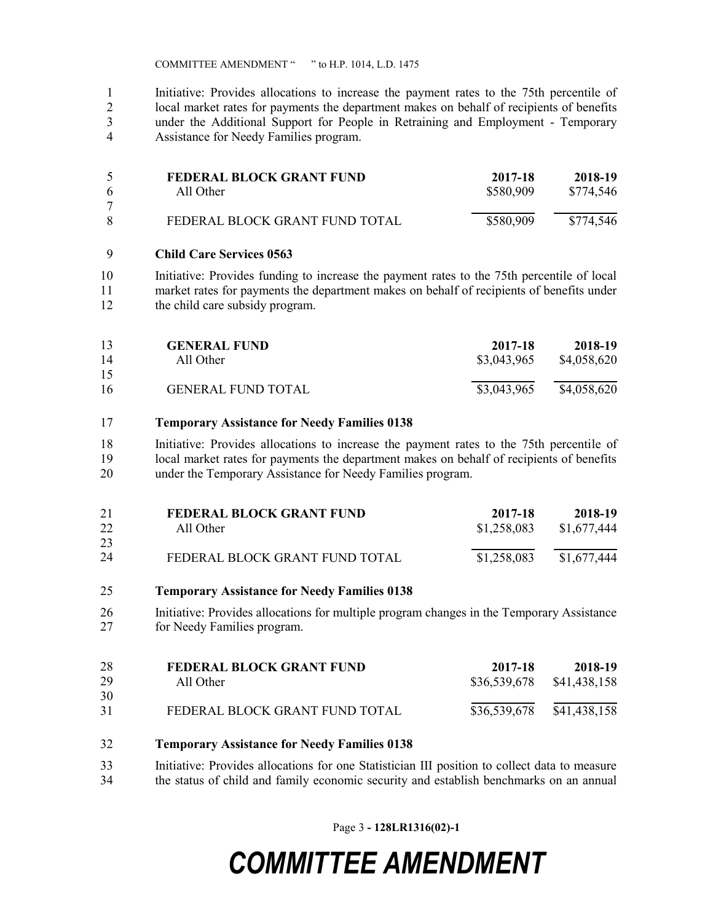COMMITTEE AMENDMENT " " to H.P. 1014, L.D. 1475

 Initiative: Provides allocations to increase the payment rates to the 75th percentile of local market rates for payments the department makes on behalf of recipients of benefits under the Additional Support for People in Retraining and Employment - Temporary Assistance for Needy Families program.

|   | <b>FEDERAL BLOCK GRANT FUND</b> | 2017-18   | 2018-19   |
|---|---------------------------------|-----------|-----------|
| 6 | All Other                       | \$580,909 | \$774,546 |
|   |                                 |           |           |
|   | FEDERAL BLOCK GRANT FUND TOTAL  | \$580,909 | \$774,546 |

#### **Child Care Services 0563**

 Initiative: Provides funding to increase the payment rates to the 75th percentile of local market rates for payments the department makes on behalf of recipients of benefits under the child care subsidy program.

| 13<br>14 | <b>GENERAL FUND</b><br>All Other | 2017-18<br>\$3,043,965 | 2018-19<br>\$4,058,620 |
|----------|----------------------------------|------------------------|------------------------|
| 15       |                                  |                        |                        |
| 16       | <b>GENERAL FUND TOTAL</b>        | \$3,043,965            | \$4,058,620            |

#### **Temporary Assistance for Needy Families 0138**

 Initiative: Provides allocations to increase the payment rates to the 75th percentile of local market rates for payments the department makes on behalf of recipients of benefits under the Temporary Assistance for Needy Families program.

| 21 | <b>FEDERAL BLOCK GRANT FUND</b> | 2017-18     | 2018-19     |
|----|---------------------------------|-------------|-------------|
| 22 | All Other                       | \$1,258,083 | \$1,677,444 |
| 23 |                                 |             |             |
| 24 | FEDERAL BLOCK GRANT FUND TOTAL  | \$1,258,083 | \$1,677,444 |

#### **Temporary Assistance for Needy Families 0138**

 Initiative: Provides allocations for multiple program changes in the Temporary Assistance for Needy Families program.

| 28<br>29 | FEDERAL BLOCK GRANT FUND<br>All Other | 2017-18<br>\$36,539,678 | 2018-19<br>\$41,438,158 |
|----------|---------------------------------------|-------------------------|-------------------------|
| 30       |                                       |                         |                         |
| 31       | FEDERAL BLOCK GRANT FUND TOTAL        | \$36,539,678            | \$41,438,158            |

#### **Temporary Assistance for Needy Families 0138**

 Initiative: Provides allocations for one Statistician III position to collect data to measure the status of child and family economic security and establish benchmarks on an annual

Page 3 **- 128LR1316(02)-1**